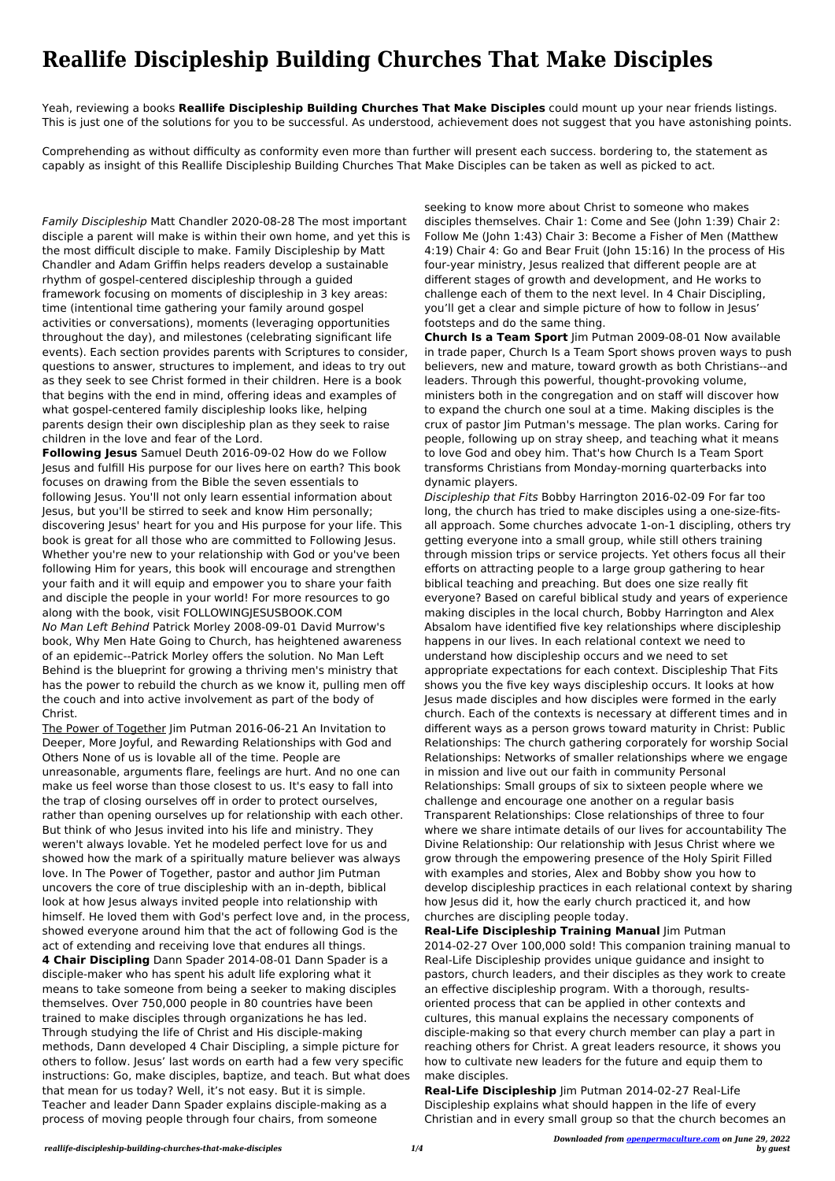## **Reallife Discipleship Building Churches That Make Disciples**

Yeah, reviewing a books **Reallife Discipleship Building Churches That Make Disciples** could mount up your near friends listings. This is just one of the solutions for you to be successful. As understood, achievement does not suggest that you have astonishing points.

Comprehending as without difficulty as conformity even more than further will present each success. bordering to, the statement as capably as insight of this Reallife Discipleship Building Churches That Make Disciples can be taken as well as picked to act.

Family Discipleship Matt Chandler 2020-08-28 The most important disciple a parent will make is within their own home, and yet this is the most difficult disciple to make. Family Discipleship by Matt Chandler and Adam Griffin helps readers develop a sustainable rhythm of gospel-centered discipleship through a guided framework focusing on moments of discipleship in 3 key areas: time (intentional time gathering your family around gospel activities or conversations), moments (leveraging opportunities throughout the day), and milestones (celebrating significant life events). Each section provides parents with Scriptures to consider, questions to answer, structures to implement, and ideas to try out as they seek to see Christ formed in their children. Here is a book that begins with the end in mind, offering ideas and examples of what gospel-centered family discipleship looks like, helping parents design their own discipleship plan as they seek to raise children in the love and fear of the Lord.

**Following Jesus** Samuel Deuth 2016-09-02 How do we Follow Jesus and fulfill His purpose for our lives here on earth? This book focuses on drawing from the Bible the seven essentials to following Jesus. You'll not only learn essential information about Jesus, but you'll be stirred to seek and know Him personally; discovering Jesus' heart for you and His purpose for your life. This book is great for all those who are committed to Following Jesus. Whether you're new to your relationship with God or you've been following Him for years, this book will encourage and strengthen your faith and it will equip and empower you to share your faith and disciple the people in your world! For more resources to go along with the book, visit FOLLOWINGJESUSBOOK.COM No Man Left Behind Patrick Morley 2008-09-01 David Murrow's book, Why Men Hate Going to Church, has heightened awareness of an epidemic--Patrick Morley offers the solution. No Man Left Behind is the blueprint for growing a thriving men's ministry that has the power to rebuild the church as we know it, pulling men off the couch and into active involvement as part of the body of Christ.

The Power of Together Jim Putman 2016-06-21 An Invitation to Deeper, More Joyful, and Rewarding Relationships with God and Others None of us is lovable all of the time. People are unreasonable, arguments flare, feelings are hurt. And no one can make us feel worse than those closest to us. It's easy to fall into the trap of closing ourselves off in order to protect ourselves, rather than opening ourselves up for relationship with each other. But think of who Jesus invited into his life and ministry. They weren't always lovable. Yet he modeled perfect love for us and showed how the mark of a spiritually mature believer was always love. In The Power of Together, pastor and author Jim Putman uncovers the core of true discipleship with an in-depth, biblical look at how Jesus always invited people into relationship with himself. He loved them with God's perfect love and, in the process, showed everyone around him that the act of following God is the act of extending and receiving love that endures all things. **4 Chair Discipling** Dann Spader 2014-08-01 Dann Spader is a disciple-maker who has spent his adult life exploring what it means to take someone from being a seeker to making disciples themselves. Over 750,000 people in 80 countries have been trained to make disciples through organizations he has led. Through studying the life of Christ and His disciple-making methods, Dann developed 4 Chair Discipling, a simple picture for others to follow. Jesus' last words on earth had a few very specific instructions: Go, make disciples, baptize, and teach. But what does that mean for us today? Well, it's not easy. But it is simple. Teacher and leader Dann Spader explains disciple-making as a process of moving people through four chairs, from someone

seeking to know more about Christ to someone who makes disciples themselves. Chair 1: Come and See (John 1:39) Chair 2: Follow Me (John 1:43) Chair 3: Become a Fisher of Men (Matthew 4:19) Chair 4: Go and Bear Fruit (John 15:16) In the process of His four-year ministry, Jesus realized that different people are at different stages of growth and development, and He works to challenge each of them to the next level. In 4 Chair Discipling, you'll get a clear and simple picture of how to follow in Jesus' footsteps and do the same thing.

**Church Is a Team Sport** Jim Putman 2009-08-01 Now available in trade paper, Church Is a Team Sport shows proven ways to push believers, new and mature, toward growth as both Christians--and leaders. Through this powerful, thought-provoking volume, ministers both in the congregation and on staff will discover how to expand the church one soul at a time. Making disciples is the crux of pastor Jim Putman's message. The plan works. Caring for people, following up on stray sheep, and teaching what it means to love God and obey him. That's how Church Is a Team Sport transforms Christians from Monday-morning quarterbacks into dynamic players.

Discipleship that Fits Bobby Harrington 2016-02-09 For far too long, the church has tried to make disciples using a one-size-fitsall approach. Some churches advocate 1-on-1 discipling, others try getting everyone into a small group, while still others training through mission trips or service projects. Yet others focus all their efforts on attracting people to a large group gathering to hear biblical teaching and preaching. But does one size really fit everyone? Based on careful biblical study and years of experience making disciples in the local church, Bobby Harrington and Alex Absalom have identified five key relationships where discipleship happens in our lives. In each relational context we need to understand how discipleship occurs and we need to set appropriate expectations for each context. Discipleship That Fits shows you the five key ways discipleship occurs. It looks at how Jesus made disciples and how disciples were formed in the early church. Each of the contexts is necessary at different times and in different ways as a person grows toward maturity in Christ: Public Relationships: The church gathering corporately for worship Social Relationships: Networks of smaller relationships where we engage in mission and live out our faith in community Personal Relationships: Small groups of six to sixteen people where we challenge and encourage one another on a regular basis Transparent Relationships: Close relationships of three to four where we share intimate details of our lives for accountability The Divine Relationship: Our relationship with Jesus Christ where we grow through the empowering presence of the Holy Spirit Filled with examples and stories, Alex and Bobby show you how to develop discipleship practices in each relational context by sharing how Jesus did it, how the early church practiced it, and how churches are discipling people today. **Real-Life Discipleship Training Manual** Jim Putman 2014-02-27 Over 100,000 sold! This companion training manual to Real-Life Discipleship provides unique guidance and insight to pastors, church leaders, and their disciples as they work to create an effective discipleship program. With a thorough, resultsoriented process that can be applied in other contexts and cultures, this manual explains the necessary components of disciple-making so that every church member can play a part in reaching others for Christ. A great leaders resource, it shows you how to cultivate new leaders for the future and equip them to make disciples.

## **Real-Life Discipleship** Jim Putman 2014-02-27 Real-Life Discipleship explains what should happen in the life of every Christian and in every small group so that the church becomes an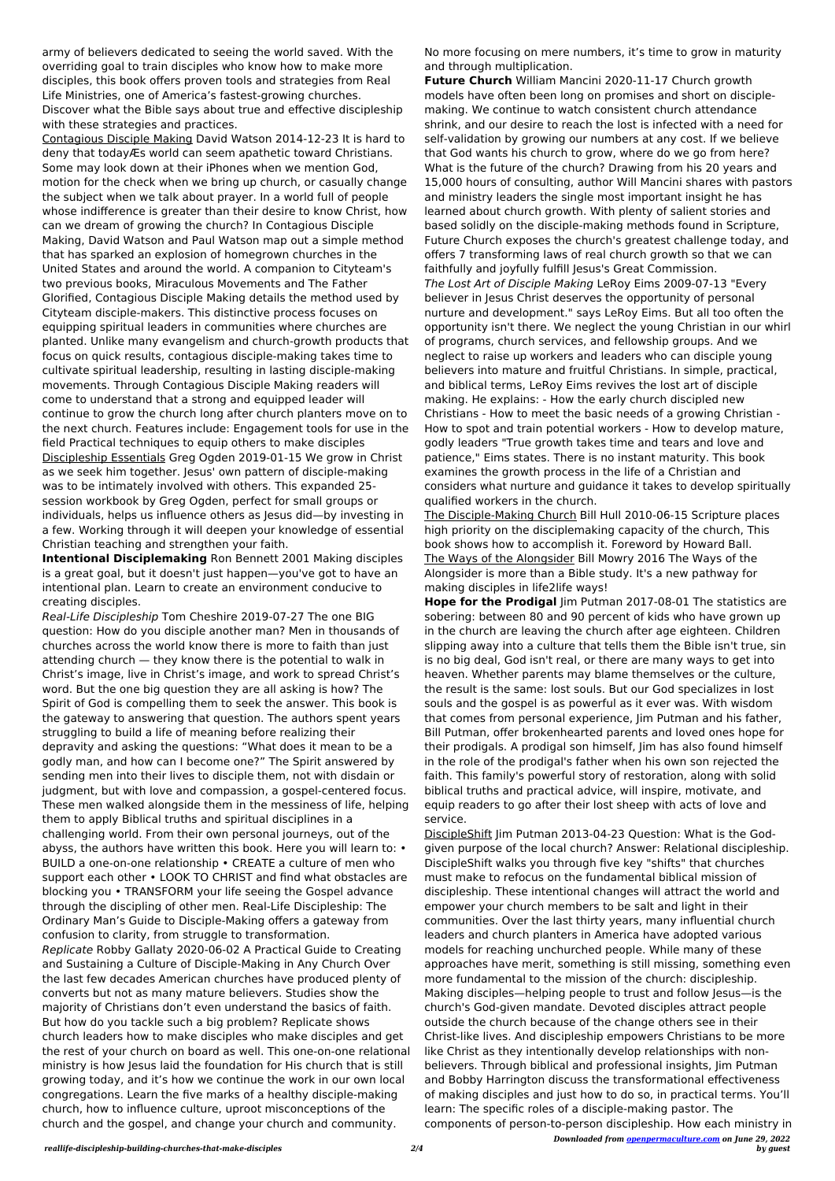army of believers dedicated to seeing the world saved. With the overriding goal to train disciples who know how to make more disciples, this book offers proven tools and strategies from Real Life Ministries, one of America's fastest-growing churches. Discover what the Bible says about true and effective discipleship with these strategies and practices.

Contagious Disciple Making David Watson 2014-12-23 It is hard to deny that todayÆs world can seem apathetic toward Christians. Some may look down at their iPhones when we mention God, motion for the check when we bring up church, or casually change the subject when we talk about prayer. In a world full of people whose indifference is greater than their desire to know Christ, how can we dream of growing the church? In Contagious Disciple Making, David Watson and Paul Watson map out a simple method that has sparked an explosion of homegrown churches in the United States and around the world. A companion to Cityteam's two previous books, Miraculous Movements and The Father Glorified, Contagious Disciple Making details the method used by Cityteam disciple-makers. This distinctive process focuses on equipping spiritual leaders in communities where churches are planted. Unlike many evangelism and church-growth products that focus on quick results, contagious disciple-making takes time to cultivate spiritual leadership, resulting in lasting disciple-making movements. Through Contagious Disciple Making readers will come to understand that a strong and equipped leader will continue to grow the church long after church planters move on to the next church. Features include: Engagement tools for use in the field Practical techniques to equip others to make disciples Discipleship Essentials Greg Ogden 2019-01-15 We grow in Christ as we seek him together. Jesus' own pattern of disciple-making was to be intimately involved with others. This expanded 25 session workbook by Greg Ogden, perfect for small groups or individuals, helps us influence others as Jesus did—by investing in a few. Working through it will deepen your knowledge of essential Christian teaching and strengthen your faith.

**Intentional Disciplemaking** Ron Bennett 2001 Making disciples is a great goal, but it doesn't just happen—you've got to have an intentional plan. Learn to create an environment conducive to creating disciples.

Real-Life Discipleship Tom Cheshire 2019-07-27 The one BIG question: How do you disciple another man? Men in thousands of churches across the world know there is more to faith than just attending church — they know there is the potential to walk in Christ's image, live in Christ's image, and work to spread Christ's word. But the one big question they are all asking is how? The Spirit of God is compelling them to seek the answer. This book is the gateway to answering that question. The authors spent years struggling to build a life of meaning before realizing their depravity and asking the questions: "What does it mean to be a godly man, and how can I become one?" The Spirit answered by sending men into their lives to disciple them, not with disdain or judgment, but with love and compassion, a gospel-centered focus. These men walked alongside them in the messiness of life, helping them to apply Biblical truths and spiritual disciplines in a challenging world. From their own personal journeys, out of the abyss, the authors have written this book. Here you will learn to: • BUILD a one-on-one relationship • CREATE a culture of men who support each other • LOOK TO CHRIST and find what obstacles are blocking you • TRANSFORM your life seeing the Gospel advance through the discipling of other men. Real-Life Discipleship: The Ordinary Man's Guide to Disciple-Making offers a gateway from confusion to clarity, from struggle to transformation. Replicate Robby Gallaty 2020-06-02 A Practical Guide to Creating and Sustaining a Culture of Disciple-Making in Any Church Over the last few decades American churches have produced plenty of converts but not as many mature believers. Studies show the majority of Christians don't even understand the basics of faith. But how do you tackle such a big problem? Replicate shows church leaders how to make disciples who make disciples and get the rest of your church on board as well. This one-on-one relational ministry is how Jesus laid the foundation for His church that is still growing today, and it's how we continue the work in our own local congregations. Learn the five marks of a healthy disciple-making church, how to influence culture, uproot misconceptions of the church and the gospel, and change your church and community.

*Downloaded from [openpermaculture.com](http://openpermaculture.com) on June 29, 2022 by guest* DiscipleShift Jim Putman 2013-04-23 Question: What is the Godgiven purpose of the local church? Answer: Relational discipleship. DiscipleShift walks you through five key "shifts" that churches must make to refocus on the fundamental biblical mission of discipleship. These intentional changes will attract the world and empower your church members to be salt and light in their communities. Over the last thirty years, many influential church leaders and church planters in America have adopted various models for reaching unchurched people. While many of these approaches have merit, something is still missing, something even more fundamental to the mission of the church: discipleship. Making disciples—helping people to trust and follow Jesus—is the church's God-given mandate. Devoted disciples attract people outside the church because of the change others see in their Christ-like lives. And discipleship empowers Christians to be more like Christ as they intentionally develop relationships with nonbelievers. Through biblical and professional insights, Jim Putman and Bobby Harrington discuss the transformational effectiveness of making disciples and just how to do so, in practical terms. You'll learn: The specific roles of a disciple-making pastor. The components of person-to-person discipleship. How each ministry in

No more focusing on mere numbers, it's time to grow in maturity and through multiplication.

**Future Church** William Mancini 2020-11-17 Church growth models have often been long on promises and short on disciplemaking. We continue to watch consistent church attendance shrink, and our desire to reach the lost is infected with a need for self-validation by growing our numbers at any cost. If we believe that God wants his church to grow, where do we go from here? What is the future of the church? Drawing from his 20 years and 15,000 hours of consulting, author Will Mancini shares with pastors and ministry leaders the single most important insight he has learned about church growth. With plenty of salient stories and based solidly on the disciple-making methods found in Scripture, Future Church exposes the church's greatest challenge today, and offers 7 transforming laws of real church growth so that we can faithfully and joyfully fulfill Jesus's Great Commission. The Lost Art of Disciple Making LeRoy Eims 2009-07-13 "Every believer in Jesus Christ deserves the opportunity of personal nurture and development." says LeRoy Eims. But all too often the opportunity isn't there. We neglect the young Christian in our whirl of programs, church services, and fellowship groups. And we neglect to raise up workers and leaders who can disciple young believers into mature and fruitful Christians. In simple, practical, and biblical terms, LeRoy Eims revives the lost art of disciple making. He explains: - How the early church discipled new Christians - How to meet the basic needs of a growing Christian - How to spot and train potential workers - How to develop mature, godly leaders "True growth takes time and tears and love and patience," Eims states. There is no instant maturity. This book examines the growth process in the life of a Christian and considers what nurture and guidance it takes to develop spiritually qualified workers in the church.

The Disciple-Making Church Bill Hull 2010-06-15 Scripture places high priority on the disciplemaking capacity of the church, This book shows how to accomplish it. Foreword by Howard Ball. The Ways of the Alongsider Bill Mowry 2016 The Ways of the Alongsider is more than a Bible study. It's a new pathway for making disciples in life2life ways!

**Hope for the Prodigal** Jim Putman 2017-08-01 The statistics are sobering: between 80 and 90 percent of kids who have grown up in the church are leaving the church after age eighteen. Children slipping away into a culture that tells them the Bible isn't true, sin is no big deal, God isn't real, or there are many ways to get into heaven. Whether parents may blame themselves or the culture, the result is the same: lost souls. But our God specializes in lost souls and the gospel is as powerful as it ever was. With wisdom that comes from personal experience, Jim Putman and his father, Bill Putman, offer brokenhearted parents and loved ones hope for their prodigals. A prodigal son himself, Jim has also found himself in the role of the prodigal's father when his own son rejected the faith. This family's powerful story of restoration, along with solid biblical truths and practical advice, will inspire, motivate, and equip readers to go after their lost sheep with acts of love and service.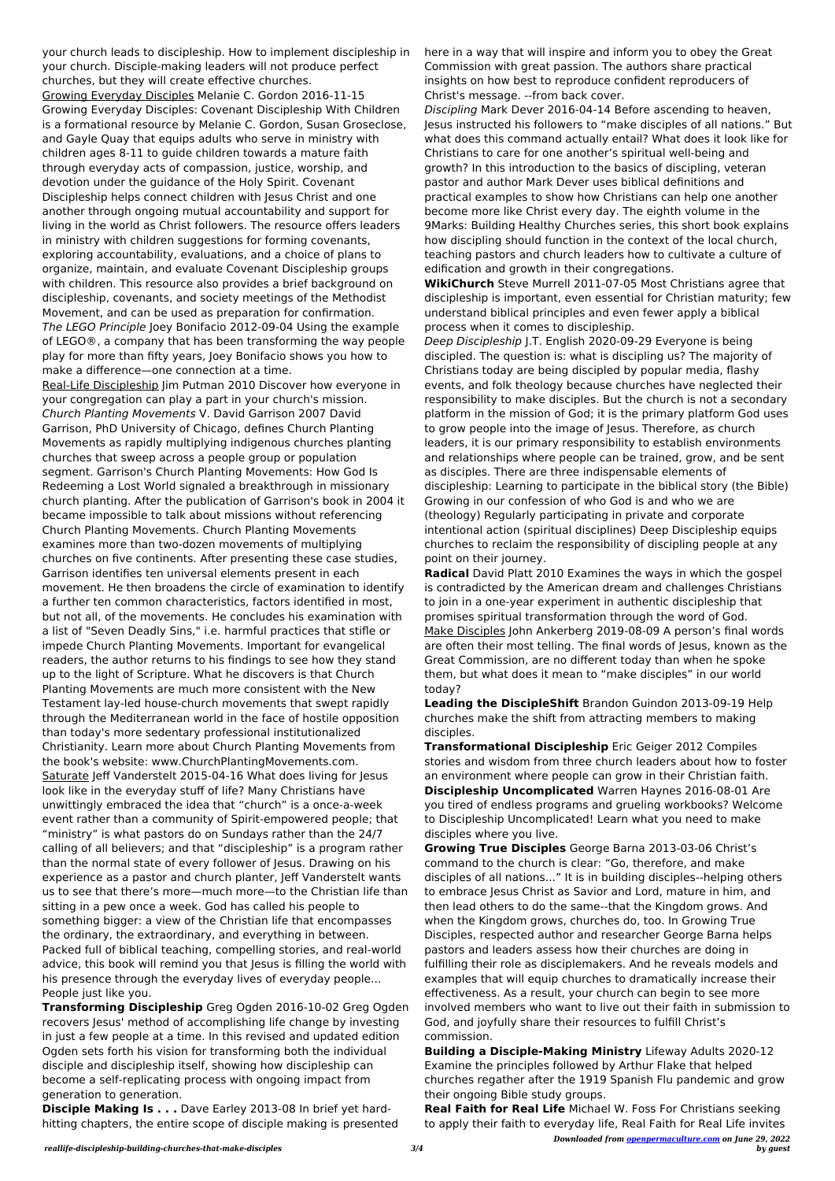your church leads to discipleship. How to implement discipleship in your church. Disciple-making leaders will not produce perfect churches, but they will create effective churches. Growing Everyday Disciples Melanie C. Gordon 2016-11-15 Growing Everyday Disciples: Covenant Discipleship With Children is a formational resource by Melanie C. Gordon, Susan Groseclose, and Gayle Quay that equips adults who serve in ministry with children ages 8-11 to guide children towards a mature faith through everyday acts of compassion, justice, worship, and devotion under the guidance of the Holy Spirit. Covenant Discipleship helps connect children with Jesus Christ and one another through ongoing mutual accountability and support for living in the world as Christ followers. The resource offers leaders in ministry with children suggestions for forming covenants, exploring accountability, evaluations, and a choice of plans to organize, maintain, and evaluate Covenant Discipleship groups with children. This resource also provides a brief background on discipleship, covenants, and society meetings of the Methodist Movement, and can be used as preparation for confirmation. The LEGO Principle Joey Bonifacio 2012-09-04 Using the example of LEGO®, a company that has been transforming the way people play for more than fifty years, Joey Bonifacio shows you how to make a difference—one connection at a time.

Real-Life Discipleship Jim Putman 2010 Discover how everyone in your congregation can play a part in your church's mission. Church Planting Movements V. David Garrison 2007 David Garrison, PhD University of Chicago, defines Church Planting Movements as rapidly multiplying indigenous churches planting churches that sweep across a people group or population segment. Garrison's Church Planting Movements: How God Is Redeeming a Lost World signaled a breakthrough in missionary church planting. After the publication of Garrison's book in 2004 it became impossible to talk about missions without referencing Church Planting Movements. Church Planting Movements examines more than two-dozen movements of multiplying churches on five continents. After presenting these case studies, Garrison identifies ten universal elements present in each movement. He then broadens the circle of examination to identify a further ten common characteristics, factors identified in most, but not all, of the movements. He concludes his examination with a list of "Seven Deadly Sins," i.e. harmful practices that stifle or impede Church Planting Movements. Important for evangelical readers, the author returns to his findings to see how they stand up to the light of Scripture. What he discovers is that Church Planting Movements are much more consistent with the New Testament lay-led house-church movements that swept rapidly through the Mediterranean world in the face of hostile opposition than today's more sedentary professional institutionalized Christianity. Learn more about Church Planting Movements from the book's website: www.ChurchPlantingMovements.com. Saturate Jeff Vanderstelt 2015-04-16 What does living for Jesus look like in the everyday stuff of life? Many Christians have unwittingly embraced the idea that "church" is a once-a-week event rather than a community of Spirit-empowered people; that "ministry" is what pastors do on Sundays rather than the 24/7 calling of all believers; and that "discipleship" is a program rather than the normal state of every follower of Jesus. Drawing on his experience as a pastor and church planter, Jeff Vanderstelt wants us to see that there's more—much more—to the Christian life than sitting in a pew once a week. God has called his people to something bigger: a view of the Christian life that encompasses the ordinary, the extraordinary, and everything in between. Packed full of biblical teaching, compelling stories, and real-world advice, this book will remind you that Jesus is filling the world with his presence through the everyday lives of everyday people... People just like you. **Transforming Discipleship** Greg Ogden 2016-10-02 Greg Ogden recovers Jesus' method of accomplishing life change by investing in just a few people at a time. In this revised and updated edition Ogden sets forth his vision for transforming both the individual disciple and discipleship itself, showing how discipleship can become a self-replicating process with ongoing impact from generation to generation.

**Disciple Making Is . . .** Dave Earley 2013-08 In brief yet hardhitting chapters, the entire scope of disciple making is presented here in a way that will inspire and inform you to obey the Great Commission with great passion. The authors share practical insights on how best to reproduce confident reproducers of Christ's message. --from back cover.

Discipling Mark Dever 2016-04-14 Before ascending to heaven, Jesus instructed his followers to "make disciples of all nations." But what does this command actually entail? What does it look like for Christians to care for one another's spiritual well-being and growth? In this introduction to the basics of discipling, veteran pastor and author Mark Dever uses biblical definitions and practical examples to show how Christians can help one another become more like Christ every day. The eighth volume in the 9Marks: Building Healthy Churches series, this short book explains how discipling should function in the context of the local church, teaching pastors and church leaders how to cultivate a culture of edification and growth in their congregations.

**WikiChurch** Steve Murrell 2011-07-05 Most Christians agree that discipleship is important, even essential for Christian maturity; few understand biblical principles and even fewer apply a biblical process when it comes to discipleship.

Deep Discipleship J.T. English 2020-09-29 Everyone is being discipled. The question is: what is discipling us? The majority of Christians today are being discipled by popular media, flashy events, and folk theology because churches have neglected their responsibility to make disciples. But the church is not a secondary platform in the mission of God; it is the primary platform God uses to grow people into the image of Jesus. Therefore, as church leaders, it is our primary responsibility to establish environments and relationships where people can be trained, grow, and be sent as disciples. There are three indispensable elements of discipleship: Learning to participate in the biblical story (the Bible) Growing in our confession of who God is and who we are (theology) Regularly participating in private and corporate intentional action (spiritual disciplines) Deep Discipleship equips churches to reclaim the responsibility of discipling people at any point on their journey.

**Radical** David Platt 2010 Examines the ways in which the gospel is contradicted by the American dream and challenges Christians to join in a one-year experiment in authentic discipleship that promises spiritual transformation through the word of God. Make Disciples John Ankerberg 2019-08-09 A person's final words are often their most telling. The final words of Jesus, known as the Great Commission, are no different today than when he spoke them, but what does it mean to "make disciples" in our world today?

**Leading the DiscipleShift** Brandon Guindon 2013-09-19 Help churches make the shift from attracting members to making disciples.

**Transformational Discipleship** Eric Geiger 2012 Compiles stories and wisdom from three church leaders about how to foster an environment where people can grow in their Christian faith. **Discipleship Uncomplicated** Warren Haynes 2016-08-01 Are you tired of endless programs and grueling workbooks? Welcome to Discipleship Uncomplicated! Learn what you need to make disciples where you live.

**Growing True Disciples** George Barna 2013-03-06 Christ's command to the church is clear: "Go, therefore, and make disciples of all nations..." It is in building disciples--helping others to embrace Jesus Christ as Savior and Lord, mature in him, and then lead others to do the same--that the Kingdom grows. And when the Kingdom grows, churches do, too. In Growing True Disciples, respected author and researcher George Barna helps pastors and leaders assess how their churches are doing in fulfilling their role as disciplemakers. And he reveals models and examples that will equip churches to dramatically increase their effectiveness. As a result, your church can begin to see more involved members who want to live out their faith in submission to God, and joyfully share their resources to fulfill Christ's commission.

**Building a Disciple-Making Ministry** Lifeway Adults 2020-12 Examine the principles followed by Arthur Flake that helped churches regather after the 1919 Spanish Flu pandemic and grow their ongoing Bible study groups.

**Real Faith for Real Life** Michael W. Foss For Christians seeking to apply their faith to everyday life, Real Faith for Real Life invites